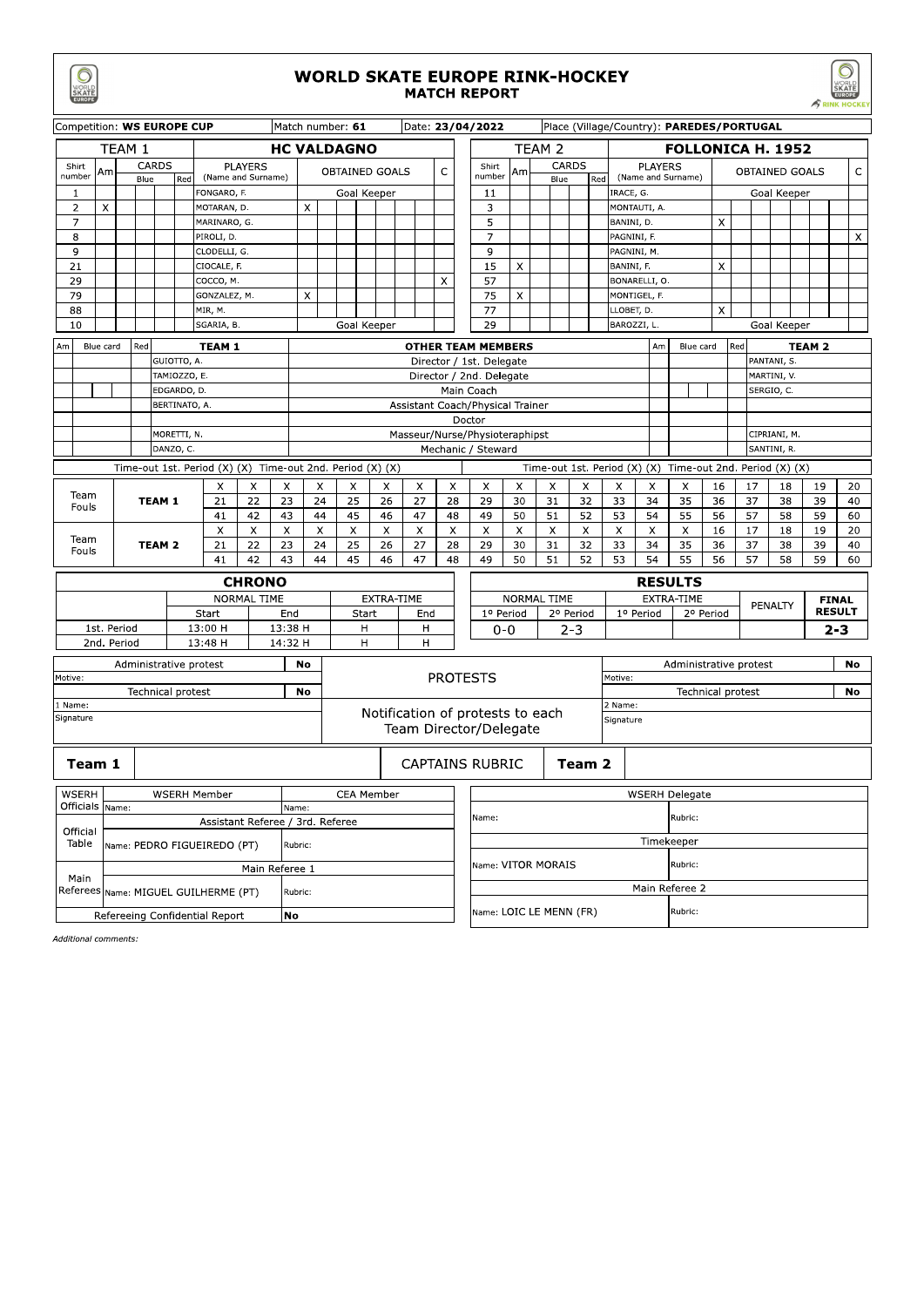|                                                         | <b>WORLD SKATE EUROPE RINK-HOCKEY</b><br><b>MATCH REPORT</b><br><b>RINK HOCKE</b> |                                        |                             |  |                            |                    |                    |                                          |                            |                                                           |                |                        |                                                            |                                     |                          |                                           |                               |                 |            |                                                        |                       |                            |                      |              |  |  |  |  |
|---------------------------------------------------------|-----------------------------------------------------------------------------------|----------------------------------------|-----------------------------|--|----------------------------|--------------------|--------------------|------------------------------------------|----------------------------|-----------------------------------------------------------|----------------|------------------------|------------------------------------------------------------|-------------------------------------|--------------------------|-------------------------------------------|-------------------------------|-----------------|------------|--------------------------------------------------------|-----------------------|----------------------------|----------------------|--------------|--|--|--|--|
| Competition: WS EUROPE CUP                              |                                                                                   |                                        |                             |  |                            |                    |                    |                                          | Match number: 61           |                                                           |                |                        | Date: 23/04/2022                                           |                                     |                          | Place (Village/Country): PAREDES/PORTUGAL |                               |                 |            |                                                        |                       |                            |                      |              |  |  |  |  |
|                                                         |                                                                                   |                                        |                             |  |                            |                    | <b>HC VALDAGNO</b> |                                          |                            |                                                           |                |                        | TEAM 2                                                     |                                     | <b>FOLLONICA H. 1952</b> |                                           |                               |                 |            |                                                        |                       |                            |                      |              |  |  |  |  |
| Shirt<br>number                                         | <b>CARDS</b><br><b>PLAYERS</b><br>Am<br>(Name and Surname)<br>Blue<br>Red         |                                        |                             |  |                            |                    |                    |                                          | <b>OBTAINED GOALS</b>      |                                                           |                | $\mathsf{C}$           | Shirt<br>number                                            | CARDS<br>Am<br>Blue<br>Red          |                          |                                           |                               |                 |            | <b>PLAYERS</b><br>OBTAINED GOALS<br>(Name and Surname) |                       |                            |                      |              |  |  |  |  |
| 1                                                       |                                                                                   |                                        |                             |  | FONGARO, F.                |                    |                    |                                          | Goal Keeper                |                                                           |                |                        | 11                                                         |                                     |                          |                                           | IRACE, G.                     |                 |            |                                                        | Goal Keeper           |                            |                      |              |  |  |  |  |
| $\overline{2}$                                          | X                                                                                 |                                        |                             |  | MOTARAN, D.                |                    |                    | X                                        |                            |                                                           |                |                        | 3                                                          |                                     |                          |                                           |                               | MONTAUTI, A.    |            |                                                        |                       |                            |                      |              |  |  |  |  |
| $\overline{7}$<br>8                                     |                                                                                   |                                        |                             |  | MARINARO, G.<br>PIROLI, D. |                    |                    |                                          |                            |                                                           |                |                        | 5<br>7                                                     |                                     |                          |                                           | BANINI, D.<br>PAGNINI, F.     |                 |            | X                                                      |                       |                            |                      | X            |  |  |  |  |
| 9                                                       |                                                                                   |                                        |                             |  | CLODELLI, G.               |                    |                    |                                          |                            |                                                           |                |                        | 9                                                          |                                     |                          |                                           | PAGNINI, M.                   |                 |            |                                                        |                       |                            |                      |              |  |  |  |  |
| 21                                                      |                                                                                   |                                        |                             |  | CIOCALE, F.                |                    |                    |                                          |                            |                                                           |                |                        | 15                                                         | X                                   |                          |                                           | BANINI, F.                    |                 |            | X                                                      |                       |                            |                      |              |  |  |  |  |
| 29<br>79                                                |                                                                                   |                                        |                             |  | COCCO, M.<br>GONZALEZ, M.  |                    |                    | X                                        |                            |                                                           |                | X                      | 57<br>75                                                   | X                                   |                          |                                           | BONARELLI, O.<br>MONTIGEL, F. |                 |            |                                                        |                       |                            |                      |              |  |  |  |  |
| 88                                                      |                                                                                   |                                        |                             |  | MIR, M.                    |                    |                    |                                          |                            |                                                           |                |                        | 77                                                         |                                     |                          |                                           |                               | LLOBET, D.<br>X |            |                                                        |                       |                            |                      |              |  |  |  |  |
| 10                                                      |                                                                                   |                                        |                             |  | SGARIA, B.                 |                    |                    |                                          | Goal Keeper                |                                                           |                |                        | 29                                                         |                                     |                          |                                           | BAROZZI, L.                   |                 |            |                                                        |                       | Goal Keeper                |                      |              |  |  |  |  |
| Am                                                      | Blue card                                                                         | Red                                    |                             |  | <b>TEAM 1</b>              |                    |                    |                                          |                            |                                                           |                |                        | <b>OTHER TEAM MEMBERS</b>                                  |                                     |                          |                                           |                               | Am              | Blue card  |                                                        | Red                   | <b>TEAM 2</b>              |                      |              |  |  |  |  |
|                                                         |                                                                                   |                                        | GUIOTTO, A.<br>TAMIOZZO, E. |  |                            |                    |                    |                                          |                            |                                                           |                |                        | Director / 1st. Delegate<br>Director / 2nd. Delegate       |                                     |                          |                                           |                               |                 |            |                                                        |                       | PANTANI, S.<br>MARTINI, V. |                      |              |  |  |  |  |
|                                                         |                                                                                   |                                        | EDGARDO, D.                 |  |                            |                    |                    |                                          |                            |                                                           |                |                        | Main Coach                                                 |                                     |                          |                                           |                               |                 |            |                                                        |                       | SERGIO, C.                 |                      |              |  |  |  |  |
|                                                         |                                                                                   |                                        | BERTINATO, A.               |  |                            |                    |                    |                                          |                            |                                                           |                |                        | Assistant Coach/Physical Trainer                           |                                     |                          |                                           |                               |                 |            |                                                        |                       |                            |                      |              |  |  |  |  |
|                                                         | MORETTI, N.                                                                       |                                        |                             |  |                            |                    |                    | Doctor<br>Masseur/Nurse/Physioteraphipst |                            |                                                           |                |                        |                                                            |                                     |                          |                                           |                               |                 |            |                                                        | CIPRIANI, M.          |                            |                      |              |  |  |  |  |
|                                                         |                                                                                   |                                        | DANZO, C.                   |  |                            |                    |                    |                                          |                            |                                                           |                |                        | Mechanic / Steward                                         |                                     |                          |                                           |                               |                 |            |                                                        |                       | SANTINI, R.                |                      |              |  |  |  |  |
|                                                         | Time-out 1st. Period (X) (X) Time-out 2nd. Period (X) (X)                         |                                        |                             |  |                            |                    |                    |                                          |                            | Time-out 1st. Period (X) (X) Time-out 2nd. Period (X) (X) |                |                        |                                                            |                                     |                          |                                           |                               |                 |            |                                                        |                       |                            |                      |              |  |  |  |  |
|                                                         | $\times$<br>X<br>Х                                                                |                                        |                             |  |                            |                    |                    | X                                        | X                          | X                                                         | X              | X                      | X                                                          | X                                   | X                        | X                                         | Х                             | X               | X          | 16                                                     | 17                    | 18                         | 19                   | 20           |  |  |  |  |
| Team                                                    | Fouls                                                                             |                                        | <b>TEAM 1</b>               |  | 21                         | 22                 | 23                 | 24                                       | 25                         | 26                                                        | 27             | 28                     | 29                                                         | 30                                  | 31                       | 32                                        | 33                            | 34              | 35         | 36                                                     | 37                    | 38                         | 39                   | 40           |  |  |  |  |
|                                                         |                                                                                   |                                        |                             |  | 41<br>X                    | 42<br>X            | 43<br>X            | 44<br>X                                  | 45<br>X                    | 46<br>$\times$                                            | 47<br>$\times$ | 48<br>X                | 49<br>X                                                    | 50<br>X                             | 51<br>X                  | 52<br>X                                   | 53<br>X                       | 54<br>X         | 55<br>X    | 56<br>16                                               | 57<br>17              | 58<br>18                   | 59<br>19             | 60<br>20     |  |  |  |  |
|                                                         | Team                                                                              |                                        | 21<br><b>TEAM 2</b>         |  |                            | 22                 | 23                 | 24                                       | 25                         | 26                                                        | 27             | 28                     | 29                                                         | 30                                  | 31                       | 32                                        | 33                            | 34              | 35         | 36                                                     | 37                    | 38                         | 39                   | 40           |  |  |  |  |
| Fouls                                                   |                                                                                   |                                        |                             |  | 42<br>43<br>41             |                    |                    |                                          | 44<br>45<br>46<br>47<br>48 |                                                           |                |                        | 49                                                         | 50                                  | 51                       | 52                                        | 53                            | 54              | 55         | 56                                                     | 57                    | 58                         | 59                   | 60           |  |  |  |  |
|                                                         |                                                                                   |                                        |                             |  |                            | <b>CHRONO</b>      |                    |                                          |                            |                                                           |                |                        |                                                            |                                     |                          |                                           |                               | <b>RESULTS</b>  |            |                                                        |                       |                            |                      |              |  |  |  |  |
|                                                         |                                                                                   |                                        |                             |  |                            | <b>NORMAL TIME</b> |                    |                                          |                            |                                                           | EXTRA-TIME     |                        |                                                            |                                     | <b>NORMAL TIME</b>       |                                           |                               |                 | EXTRA-TIME |                                                        |                       | PENALTY                    |                      | <b>FINAL</b> |  |  |  |  |
|                                                         |                                                                                   |                                        |                             |  | <b>Start</b>               |                    | End                |                                          | Start<br>н                 |                                                           | End            |                        |                                                            | 1º Period<br>0-0                    |                          | 2º Period                                 |                               | 1º Period       |            | 2º Period                                              |                       |                            | <b>RESULT</b><br>2-3 |              |  |  |  |  |
|                                                         | 1st. Period<br>2nd. Period                                                        |                                        |                             |  | 13:00 H<br>13:48 H         |                    | 13:38 H<br>14:32 H |                                          | н                          | н<br>н                                                    |                |                        |                                                            |                                     | $2 - 3$                  |                                           |                               |                 |            |                                                        |                       |                            |                      |              |  |  |  |  |
|                                                         |                                                                                   |                                        |                             |  | Administrative protest     |                    |                    | No                                       |                            |                                                           |                |                        |                                                            |                                     |                          |                                           |                               |                 |            | No<br>Administrative protest                           |                       |                            |                      |              |  |  |  |  |
| Motive:                                                 |                                                                                   |                                        |                             |  |                            |                    |                    |                                          |                            |                                                           |                |                        | <b>PROTESTS</b>                                            |                                     |                          |                                           | Motive:                       |                 |            |                                                        |                       |                            |                      |              |  |  |  |  |
| 1 Name:                                                 |                                                                                   |                                        | <b>Technical protest</b>    |  |                            |                    |                    | No                                       |                            |                                                           |                |                        |                                                            | <b>Technical protest</b><br>2 Name: |                          |                                           |                               |                 |            |                                                        |                       | No                         |                      |              |  |  |  |  |
| Signature                                               |                                                                                   |                                        |                             |  |                            |                    |                    |                                          |                            |                                                           |                |                        | Notification of protests to each<br>Team Director/Delegate |                                     |                          |                                           | Signature                     |                 |            |                                                        |                       |                            |                      |              |  |  |  |  |
|                                                         | Team 1                                                                            |                                        |                             |  |                            |                    |                    |                                          |                            |                                                           |                | <b>CAPTAINS RUBRIC</b> |                                                            |                                     | Team 2                   |                                           |                               |                 |            |                                                        |                       |                            |                      |              |  |  |  |  |
| WSERH<br><b>WSERH Member</b>                            |                                                                                   |                                        |                             |  |                            |                    |                    |                                          | <b>CEA Member</b>          |                                                           |                |                        |                                                            |                                     |                          |                                           |                               |                 |            |                                                        | <b>WSERH Delegate</b> |                            |                      |              |  |  |  |  |
| Officials Name:<br>Assistant Referee / 3rd. Referee     |                                                                                   |                                        |                             |  |                            |                    | Name:              |                                          |                            |                                                           |                |                        | Name:                                                      |                                     |                          |                                           |                               |                 |            |                                                        | Rubric:               |                            |                      |              |  |  |  |  |
| Official<br>Table                                       |                                                                                   | Name: PEDRO FIGUEIREDO (PT)<br>Rubric: |                             |  |                            |                    |                    |                                          |                            |                                                           |                |                        |                                                            | Timekeeper                          |                          |                                           |                               |                 |            |                                                        |                       |                            |                      |              |  |  |  |  |
|                                                         |                                                                                   |                                        |                             |  |                            | Main Referee 1     |                    |                                          |                            |                                                           |                |                        |                                                            | Rubric:<br>Name: VITOR MORAIS       |                          |                                           |                               |                 |            |                                                        |                       |                            |                      |              |  |  |  |  |
| Main<br>Referees <sub>Name:</sub> MIGUEL GUILHERME (PT) |                                                                                   |                                        |                             |  |                            |                    |                    | Rubric:                                  |                            |                                                           |                |                        |                                                            | Main Referee 2                      |                          |                                           |                               |                 |            |                                                        |                       |                            |                      |              |  |  |  |  |
|                                                         | No<br>Refereeing Confidential Report                                              |                                        |                             |  |                            |                    |                    |                                          |                            |                                                           |                |                        |                                                            |                                     |                          | Name: LOIC LE MENN (FR)                   |                               |                 | Rubric:    |                                                        |                       |                            |                      |              |  |  |  |  |

Additional comments: